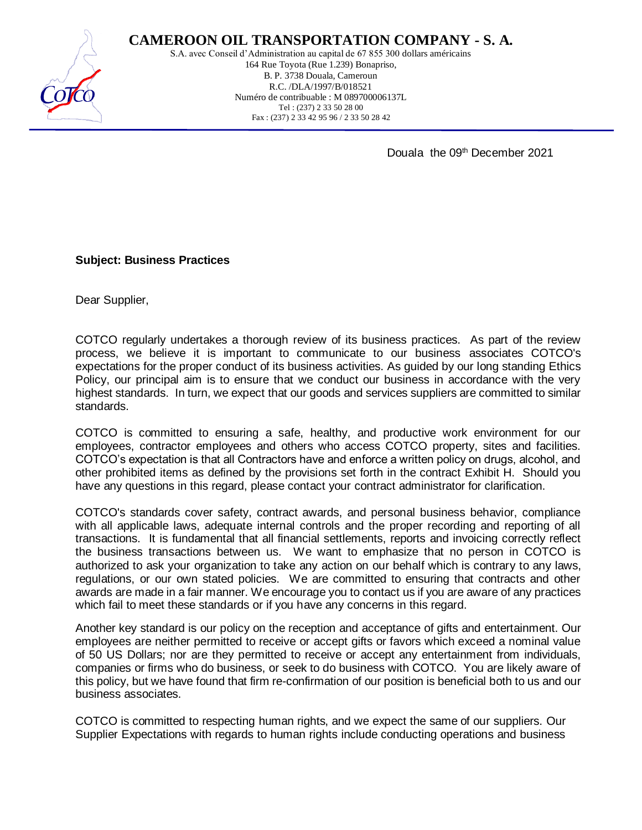

## **CAMEROON OIL TRANSPORTATION COMPANY - S. A.**

S.A. avec Conseil d'Administration au capital de 67 855 300 dollars américains 164 Rue Toyota (Rue 1.239) Bonapriso, B. P. 3738 Douala, Cameroun R.C. /DLA/1997/B/018521 Numéro de contribuable : M 089700006137L Tel : (237) 2 33 50 28 00 Fax : (237) 2 33 42 95 96 / 2 33 50 28 42

Douala the 09<sup>th</sup> December 2021

## **Subject: Business Practices**

Dear Supplier,

COTCO regularly undertakes a thorough review of its business practices. As part of the review process, we believe it is important to communicate to our business associates COTCO's expectations for the proper conduct of its business activities. As guided by our long standing Ethics Policy, our principal aim is to ensure that we conduct our business in accordance with the very highest standards. In turn, we expect that our goods and services suppliers are committed to similar standards.

COTCO is committed to ensuring a safe, healthy, and productive work environment for our employees, contractor employees and others who access COTCO property, sites and facilities. COTCO's expectation is that all Contractors have and enforce a written policy on drugs, alcohol, and other prohibited items as defined by the provisions set forth in the contract Exhibit H. Should you have any questions in this regard, please contact your contract administrator for clarification.

COTCO's standards cover safety, contract awards, and personal business behavior, compliance with all applicable laws, adequate internal controls and the proper recording and reporting of all transactions. It is fundamental that all financial settlements, reports and invoicing correctly reflect the business transactions between us. We want to emphasize that no person in COTCO is authorized to ask your organization to take any action on our behalf which is contrary to any laws, regulations, or our own stated policies. We are committed to ensuring that contracts and other awards are made in a fair manner. We encourage you to contact us if you are aware of any practices which fail to meet these standards or if you have any concerns in this regard.

Another key standard is our policy on the reception and acceptance of gifts and entertainment. Our employees are neither permitted to receive or accept gifts or favors which exceed a nominal value of 50 US Dollars; nor are they permitted to receive or accept any entertainment from individuals, companies or firms who do business, or seek to do business with COTCO. You are likely aware of this policy, but we have found that firm re-confirmation of our position is beneficial both to us and our business associates.

COTCO is committed to respecting human rights, and we expect the same of our suppliers. Our Supplier Expectations with regards to human rights include conducting operations and business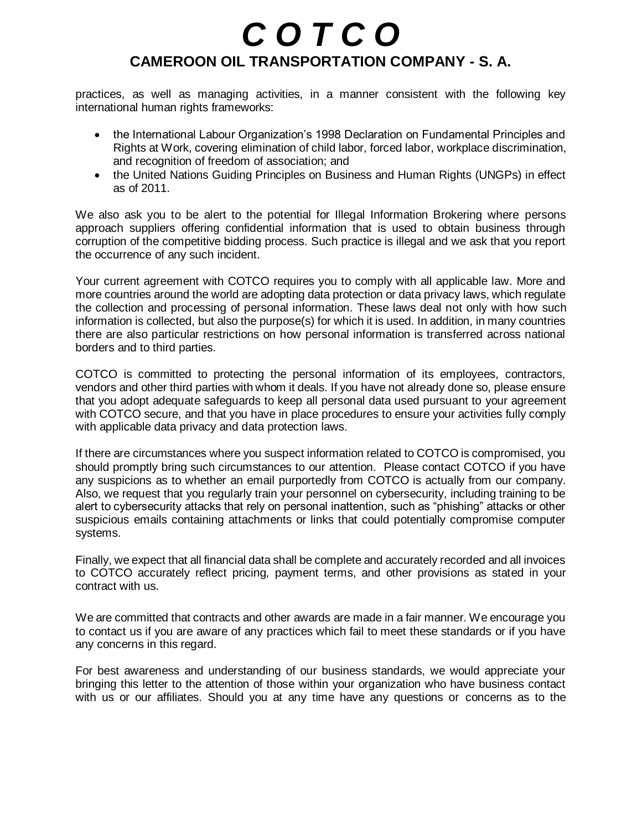## *C O T C O*  **CAMEROON OIL TRANSPORTATION COMPANY - S. A.**

practices, as well as managing activities, in a manner consistent with the following key international human rights frameworks:

- the International Labour Organization's 1998 Declaration on Fundamental Principles and Rights at Work, covering elimination of child labor, forced labor, workplace discrimination, and recognition of freedom of association; and
- the United Nations Guiding Principles on Business and Human Rights (UNGPs) in effect as of 2011.

We also ask you to be alert to the potential for Illegal Information Brokering where persons approach suppliers offering confidential information that is used to obtain business through corruption of the competitive bidding process. Such practice is illegal and we ask that you report the occurrence of any such incident.

Your current agreement with COTCO requires you to comply with all applicable law. More and more countries around the world are adopting data protection or data privacy laws, which regulate the collection and processing of personal information. These laws deal not only with how such information is collected, but also the purpose(s) for which it is used. In addition, in many countries there are also particular restrictions on how personal information is transferred across national borders and to third parties.

COTCO is committed to protecting the personal information of its employees, contractors, vendors and other third parties with whom it deals. If you have not already done so, please ensure that you adopt adequate safeguards to keep all personal data used pursuant to your agreement with COTCO secure, and that you have in place procedures to ensure your activities fully comply with applicable data privacy and data protection laws.

If there are circumstances where you suspect information related to COTCO is compromised, you should promptly bring such circumstances to our attention. Please contact COTCO if you have any suspicions as to whether an email purportedly from COTCO is actually from our company. Also, we request that you regularly train your personnel on cybersecurity, including training to be alert to cybersecurity attacks that rely on personal inattention, such as "phishing" attacks or other suspicious emails containing attachments or links that could potentially compromise computer systems.

Finally, we expect that all financial data shall be complete and accurately recorded and all invoices to COTCO accurately reflect pricing, payment terms, and other provisions as stated in your contract with us.

We are committed that contracts and other awards are made in a fair manner. We encourage you to contact us if you are aware of any practices which fail to meet these standards or if you have any concerns in this regard.

For best awareness and understanding of our business standards, we would appreciate your bringing this letter to the attention of those within your organization who have business contact with us or our affiliates. Should you at any time have any questions or concerns as to the